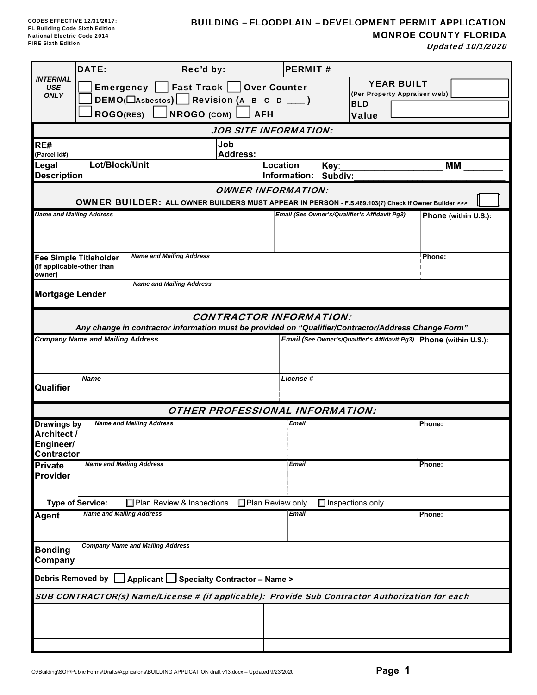# BUILDING – FLOODPLAIN – DEVELOPMENT PERMIT APPLICATION MONROE COUNTY FLORIDA

Updated 10/1/2020

|                                                       | DATE:                                                      | Rec'd by:                                                                                                                             | <b>PERMIT#</b>           |                                                                                 |                      |  |
|-------------------------------------------------------|------------------------------------------------------------|---------------------------------------------------------------------------------------------------------------------------------------|--------------------------|---------------------------------------------------------------------------------|----------------------|--|
| <b>INTERNAL</b><br><b>USE</b><br><b>ONLY</b>          | <b>Emergency</b><br><b>ROGO(RES)</b>                       | <b>Fast Track</b><br><b>Over Counter</b><br>DEMO( $\Box$ Asbestos) Revision (A -B -C -D ___ )<br>NROGO (COM)<br><b>AFH</b>            |                          | <b>YEAR BUILT</b><br>(Per Property Appraiser web)<br><b>BLD</b><br><b>Value</b> |                      |  |
|                                                       |                                                            | <b>JOB SITE INFORMATION:</b>                                                                                                          |                          |                                                                                 |                      |  |
| RE#<br>(Parcel id#)                                   |                                                            | Job<br><b>Address:</b>                                                                                                                |                          |                                                                                 |                      |  |
| Legal<br><b>Description</b>                           | Lot/Block/Unit                                             |                                                                                                                                       | Location<br>Information: | Key:<br>Subdiv:                                                                 | МM                   |  |
|                                                       |                                                            | <b>OWNER INFORMATION:</b><br>OWNER BUILDER: ALL OWNER BUILDERS MUST APPEAR IN PERSON - F.S.489.103(7) Check if Owner Builder >>>      |                          |                                                                                 |                      |  |
| <b>Name and Mailing Address</b>                       |                                                            |                                                                                                                                       |                          | Email (See Owner's/Qualifier's Affidavit Pg3)                                   | Phone (within U.S.): |  |
| owner)                                                | <b>Fee Simple Titleholder</b><br>(if applicable-other than | <b>Name and Mailing Address</b>                                                                                                       |                          |                                                                                 | Phone:               |  |
| <b>Mortgage Lender</b>                                |                                                            | <b>Name and Mailing Address</b>                                                                                                       |                          |                                                                                 |                      |  |
|                                                       |                                                            | <b>CONTRACTOR INFORMATION:</b><br>Any change in contractor information must be provided on "Qualifier/Contractor/Address Change Form" |                          |                                                                                 |                      |  |
|                                                       | <b>Company Name and Mailing Address</b>                    |                                                                                                                                       |                          | Email (See Owner's/Qualifier's Affidavit Pg3) Phone (within U.S.):              |                      |  |
| Qualifier                                             | <b>Name</b>                                                |                                                                                                                                       | <b>License#</b>          |                                                                                 |                      |  |
|                                                       |                                                            | <b>OTHER PROFESSIONAL INFORMATION:</b>                                                                                                |                          |                                                                                 |                      |  |
| Drawings by<br>Architect /<br>Engineer/<br>Contractor | <b>Name and Mailing Address</b>                            |                                                                                                                                       | Email                    |                                                                                 | Phone:               |  |
| <b>Private</b><br><b>Provider</b>                     | <b>Name and Mailing Address</b>                            |                                                                                                                                       | <b>Email</b>             |                                                                                 | Phone:               |  |
|                                                       | <b>Type of Service:</b>                                    | Plan Review & Inspections<br>□ Plan Review only                                                                                       |                          | $\Box$ Inspections only                                                         |                      |  |
| <b>Agent</b>                                          | <b>Name and Mailing Address</b>                            |                                                                                                                                       | Email                    |                                                                                 | Phone:               |  |
| <b>Bonding</b><br>Company                             | <b>Company Name and Mailing Address</b>                    |                                                                                                                                       |                          |                                                                                 |                      |  |
|                                                       |                                                            | Debris Removed by   Applicant   Specialty Contractor - Name >                                                                         |                          |                                                                                 |                      |  |
|                                                       |                                                            | SUB CONTRACTOR(s) Name/License # (if applicable): Provide Sub Contractor Authorization for each                                       |                          |                                                                                 |                      |  |
|                                                       |                                                            |                                                                                                                                       |                          |                                                                                 |                      |  |
|                                                       |                                                            |                                                                                                                                       |                          |                                                                                 |                      |  |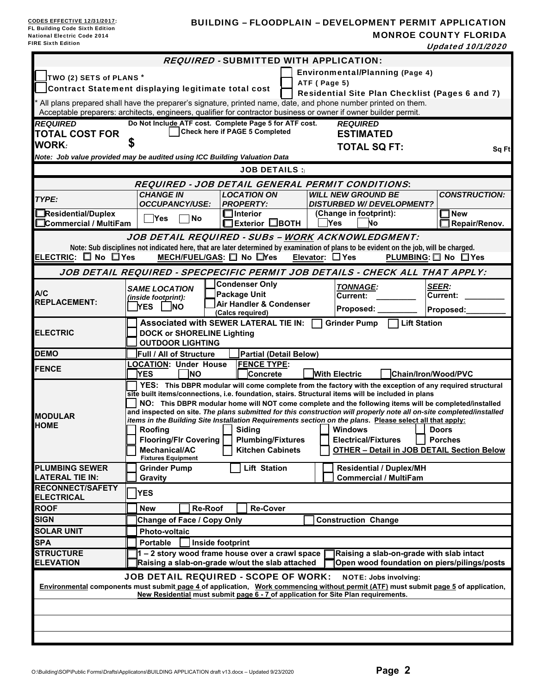### BUILDING – FLOODPLAIN – DEVELOPMENT PERMIT APPLICATION MONROE COUNTY FLORIDA

Updated 10/1/2020

| <b>REQUIRED - SUBMITTED WITH APPLICATION:</b>                                                                                                                                                                                       |                                                                                                                                                                                                            |                                                                                                    |                                                |  |  |                                                                                                                                                                                             |                                 |  |
|-------------------------------------------------------------------------------------------------------------------------------------------------------------------------------------------------------------------------------------|------------------------------------------------------------------------------------------------------------------------------------------------------------------------------------------------------------|----------------------------------------------------------------------------------------------------|------------------------------------------------|--|--|---------------------------------------------------------------------------------------------------------------------------------------------------------------------------------------------|---------------------------------|--|
| <b>Environmental/Planning (Page 4)</b>                                                                                                                                                                                              |                                                                                                                                                                                                            |                                                                                                    |                                                |  |  |                                                                                                                                                                                             |                                 |  |
|                                                                                                                                                                                                                                     | TWO (2) SETS of PLANS *<br>ATF (Page 5)                                                                                                                                                                    |                                                                                                    |                                                |  |  |                                                                                                                                                                                             |                                 |  |
|                                                                                                                                                                                                                                     | Contract Statement displaying legitimate total cost<br>Residential Site Plan Checklist (Pages 6 and 7)                                                                                                     |                                                                                                    |                                                |  |  |                                                                                                                                                                                             |                                 |  |
| * All plans prepared shall have the preparer's signature, printed name, date, and phone number printed on them.<br>Acceptable preparers: architects, engineers, qualifier for contractor business or owner if owner builder permit. |                                                                                                                                                                                                            |                                                                                                    |                                                |  |  |                                                                                                                                                                                             |                                 |  |
| <b>REQUIRED</b>                                                                                                                                                                                                                     |                                                                                                                                                                                                            | Do Not Include ATF cost. Complete Page 5 for ATF cost.                                             |                                                |  |  | <b>REQUIRED</b>                                                                                                                                                                             |                                 |  |
| <b>TOTAL COST FOR</b>                                                                                                                                                                                                               |                                                                                                                                                                                                            |                                                                                                    | Check here if PAGE 5 Completed                 |  |  | <b>ESTIMATED</b>                                                                                                                                                                            |                                 |  |
| <b>WORK:</b>                                                                                                                                                                                                                        |                                                                                                                                                                                                            |                                                                                                    |                                                |  |  | <b>TOTAL SQ FT:</b>                                                                                                                                                                         |                                 |  |
| Note: Job value provided may be audited using ICC Building Valuation Data                                                                                                                                                           |                                                                                                                                                                                                            |                                                                                                    |                                                |  |  |                                                                                                                                                                                             | Sq Ft                           |  |
|                                                                                                                                                                                                                                     |                                                                                                                                                                                                            |                                                                                                    | <b>JOB DETAILS:</b>                            |  |  |                                                                                                                                                                                             |                                 |  |
| REQUIRED - JOB DETAIL GENERAL PERMIT CONDITIONS:                                                                                                                                                                                    |                                                                                                                                                                                                            |                                                                                                    |                                                |  |  |                                                                                                                                                                                             |                                 |  |
| TYPE:                                                                                                                                                                                                                               |                                                                                                                                                                                                            | <b>CHANGE IN</b><br><b>OCCUPANCY/USE:</b>                                                          | <b>LOCATION ON</b><br><b>PROPERTY:</b>         |  |  | WILL NEW GROUND BE<br><b>DISTURBED W/ DEVELOPMENT?</b>                                                                                                                                      | <b>CONSTRUCTION:</b>            |  |
| Residential/Duplex<br>Commercial / MultiFam                                                                                                                                                                                         |                                                                                                                                                                                                            | <b>No</b><br>Yes                                                                                   | $\Box$ Interior<br>$\Box$ Exterior $\Box$ BOTH |  |  | (Change in footprint):<br>Yes<br>Νo                                                                                                                                                         | <b>New</b><br>Repair/Renov.     |  |
|                                                                                                                                                                                                                                     |                                                                                                                                                                                                            |                                                                                                    |                                                |  |  |                                                                                                                                                                                             |                                 |  |
|                                                                                                                                                                                                                                     |                                                                                                                                                                                                            |                                                                                                    |                                                |  |  | JOB DETAIL REQUIRED - SUBs - WORK ACKNOWLEDGMENT:<br>Note: Sub disciplines not indicated here, that are later determined by examination of plans to be evident on the job, will be charged. |                                 |  |
| ELECTRIC: O No OYes                                                                                                                                                                                                                 |                                                                                                                                                                                                            | MECH/FUEL/GAS: $\square$ No $\square$ Yes                                                          |                                                |  |  | Elevator: $\Box$ Yes                                                                                                                                                                        | PLUMBING: □ No □ Yes            |  |
|                                                                                                                                                                                                                                     |                                                                                                                                                                                                            |                                                                                                    |                                                |  |  | JOB DETAIL REQUIRED - SPECPECIFIC PERMIT JOB DETAILS - CHECK ALL THAT APPLY:                                                                                                                |                                 |  |
|                                                                                                                                                                                                                                     |                                                                                                                                                                                                            |                                                                                                    | <b>Condenser Only</b>                          |  |  |                                                                                                                                                                                             |                                 |  |
| A/C                                                                                                                                                                                                                                 |                                                                                                                                                                                                            | <b>SAME LOCATION</b><br>(inside footprint):                                                        | <b>Package Unit</b>                            |  |  | <b>TONNAGE:</b><br>Current:                                                                                                                                                                 | <b>SEER:</b><br><b>Current:</b> |  |
| <b>REPLACEMENT:</b>                                                                                                                                                                                                                 |                                                                                                                                                                                                            | <b>YES</b><br>INO.                                                                                 | <b>Air Handler &amp; Condenser</b>             |  |  | Proposed: __                                                                                                                                                                                | Proposed:                       |  |
|                                                                                                                                                                                                                                     |                                                                                                                                                                                                            |                                                                                                    | (Calcs required)                               |  |  |                                                                                                                                                                                             |                                 |  |
| <b>ELECTRIC</b>                                                                                                                                                                                                                     |                                                                                                                                                                                                            | Associated with SEWER LATERAL TIE IN:<br><b>DOCK or SHORELINE Lighting</b>                         |                                                |  |  | Lift Station<br><b>Grinder Pump</b>                                                                                                                                                         |                                 |  |
|                                                                                                                                                                                                                                     |                                                                                                                                                                                                            | <b>OUTDOOR LIGHTING</b>                                                                            |                                                |  |  |                                                                                                                                                                                             |                                 |  |
| <b>DEMO</b>                                                                                                                                                                                                                         |                                                                                                                                                                                                            | Full / All of Structure                                                                            | <b>Partial (Detail Below)</b>                  |  |  |                                                                                                                                                                                             |                                 |  |
| <b>FENCE</b>                                                                                                                                                                                                                        |                                                                                                                                                                                                            | <b>LOCATION: Under House</b>                                                                       | <b>FENCE TYPE:</b>                             |  |  |                                                                                                                                                                                             |                                 |  |
|                                                                                                                                                                                                                                     |                                                                                                                                                                                                            | YES<br>INO                                                                                         | Concrete                                       |  |  | <b>With Electric</b>                                                                                                                                                                        | <b>Chain/Iron/Wood/PVC</b>      |  |
|                                                                                                                                                                                                                                     |                                                                                                                                                                                                            |                                                                                                    |                                                |  |  | YES: This DBPR modular will come complete from the factory with the exception of any required structural                                                                                    |                                 |  |
|                                                                                                                                                                                                                                     | site built items/connections, i.e. foundation, stairs. Structural items will be included in plans<br>NO: This DBPR modular home will NOT come complete and the following items will be completed/installed |                                                                                                    |                                                |  |  |                                                                                                                                                                                             |                                 |  |
| <b>MODULAR</b>                                                                                                                                                                                                                      | and inspected on site. The plans submitted for this construction will properly note all on-site completed/installed                                                                                        |                                                                                                    |                                                |  |  |                                                                                                                                                                                             |                                 |  |
| <b>HOME</b>                                                                                                                                                                                                                         |                                                                                                                                                                                                            |                                                                                                    |                                                |  |  | items in the Building Site Installation Requirements section on the plans. Please select all that apply:<br><b>Windows</b>                                                                  | <b>Doors</b>                    |  |
|                                                                                                                                                                                                                                     |                                                                                                                                                                                                            | Roofing<br>Flooring/Flr Covering                                                                   | Siding<br><b>Plumbing/Fixtures</b>             |  |  | <b>Electrical/Fixtures</b>                                                                                                                                                                  | <b>Porches</b>                  |  |
|                                                                                                                                                                                                                                     |                                                                                                                                                                                                            | Mechanical/AC                                                                                      | <b>Kitchen Cabinets</b>                        |  |  | <b>OTHER - Detail in JOB DETAIL Section Below</b>                                                                                                                                           |                                 |  |
|                                                                                                                                                                                                                                     |                                                                                                                                                                                                            | <b>Fixtures Equipment</b>                                                                          |                                                |  |  |                                                                                                                                                                                             |                                 |  |
| <b>PLUMBING SEWER</b><br><b>LATERAL TIE IN:</b>                                                                                                                                                                                     |                                                                                                                                                                                                            | <b>Grinder Pump</b>                                                                                | <b>Lift Station</b>                            |  |  | <b>Residential / Duplex/MH</b>                                                                                                                                                              |                                 |  |
| <b>RECONNECT/SAFETY</b>                                                                                                                                                                                                             |                                                                                                                                                                                                            | Gravity                                                                                            |                                                |  |  | <b>Commercial / MultiFam</b>                                                                                                                                                                |                                 |  |
| <b>ELECTRICAL</b>                                                                                                                                                                                                                   |                                                                                                                                                                                                            | <b>YES</b>                                                                                         |                                                |  |  |                                                                                                                                                                                             |                                 |  |
| <b>ROOF</b>                                                                                                                                                                                                                         |                                                                                                                                                                                                            | <b>New</b><br>Re-Roof                                                                              | <b>Re-Cover</b>                                |  |  |                                                                                                                                                                                             |                                 |  |
| <b>SIGN</b>                                                                                                                                                                                                                         |                                                                                                                                                                                                            | <b>Change of Face / Copy Only</b>                                                                  |                                                |  |  | <b>Construction Change</b>                                                                                                                                                                  |                                 |  |
| <b>SOLAR UNIT</b>                                                                                                                                                                                                                   |                                                                                                                                                                                                            | <b>Photo-voltaic</b>                                                                               |                                                |  |  |                                                                                                                                                                                             |                                 |  |
| <b>SPA</b>                                                                                                                                                                                                                          |                                                                                                                                                                                                            | <b>Portable</b><br>Inside footprint                                                                |                                                |  |  |                                                                                                                                                                                             |                                 |  |
| <b>STRUCTURE</b><br><b>ELEVATION</b>                                                                                                                                                                                                |                                                                                                                                                                                                            | 1 - 2 story wood frame house over a crawl space<br>Raising a slab-on-grade w/out the slab attached |                                                |  |  | Raising a slab-on-grade with slab intact<br>Open wood foundation on piers/pilings/posts                                                                                                     |                                 |  |
| <b>JOB DETAIL REQUIRED - SCOPE OF WORK:</b><br><b>NOTE: Jobs involving:</b>                                                                                                                                                         |                                                                                                                                                                                                            |                                                                                                    |                                                |  |  |                                                                                                                                                                                             |                                 |  |
| Environmental components must submit page 4 of application, Work commencing without permit (ATF) must submit page 5 of application,<br>New Residential must submit page 6 - 7 of application for Site Plan requirements.            |                                                                                                                                                                                                            |                                                                                                    |                                                |  |  |                                                                                                                                                                                             |                                 |  |
|                                                                                                                                                                                                                                     |                                                                                                                                                                                                            |                                                                                                    |                                                |  |  |                                                                                                                                                                                             |                                 |  |
|                                                                                                                                                                                                                                     |                                                                                                                                                                                                            |                                                                                                    |                                                |  |  |                                                                                                                                                                                             |                                 |  |
|                                                                                                                                                                                                                                     |                                                                                                                                                                                                            |                                                                                                    |                                                |  |  |                                                                                                                                                                                             |                                 |  |
|                                                                                                                                                                                                                                     |                                                                                                                                                                                                            |                                                                                                    |                                                |  |  |                                                                                                                                                                                             |                                 |  |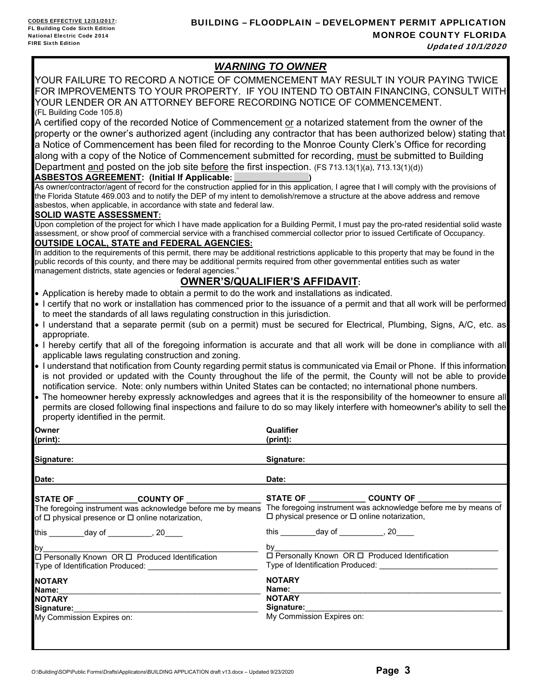# *WARNING TO OWNER*

YOUR FAILURE TO RECORD A NOTICE OF COMMENCEMENT MAY RESULT IN YOUR PAYING TWICE FOR IMPROVEMENTS TO YOUR PROPERTY. IF YOU INTEND TO OBTAIN FINANCING, CONSULT WITH YOUR LENDER OR AN ATTORNEY BEFORE RECORDING NOTICE OF COMMENCEMENT. (FL Building Code 105.8)

A certified copy of the recorded Notice of Commencement or a notarized statement from the owner of the property or the owner's authorized agent (including any contractor that has been authorized below) stating that a Notice of Commencement has been filed for recording to the Monroe County Clerk's Office for recording along with a copy of the Notice of Commencement submitted for recording, must be submitted to Building Department <u>and</u> posted on the job site **before** the first inspection. (FS 713.13(1)(a), 713.13(1)(d))

### **ASBESTOS AGREEMENT: (Initial If Applicable:**

As owner/contractor/agent of record for the construction applied for in this application, I agree that I will comply with the provisions of the Florida Statute 469.003 and to notify the DEP of my intent to demolish/remove a structure at the above address and remove asbestos, when applicable, in accordance with state and federal law.

### **SOLID WASTE ASSESSMENT:**

Upon completion of the project for which I have made application for a Building Permit, I must pay the pro-rated residential solid waste assessment, or show proof of commercial service with a franchised commercial collector prior to issued Certificate of Occupancy.

### **OUTSIDE LOCAL, STATE and FEDERAL AGENCIES:**

In addition to the requirements of this permit, there may be additional restrictions applicable to this property that may be found in the public records of this county, and there may be additional permits required from other governmental entities such as water management districts, state agencies or federal agencies."

# **OWNER'S/QUALIFIER'S AFFIDAVIT:**

- Application is hereby made to obtain a permit to do the work and installations as indicated.
- I certify that no work or installation has commenced prior to the issuance of a permit and that all work will be performed to meet the standards of all laws regulating construction in this jurisdiction.
- I understand that a separate permit (sub on a permit) must be secured for Electrical, Plumbing, Signs, A/C, etc. as appropriate.
- I hereby certify that all of the foregoing information is accurate and that all work will be done in compliance with all applicable laws regulating construction and zoning.
- I understand that notification from County regarding permit status is communicated via Email or Phone. If this information is not provided or updated with the County throughout the life of the permit, the County will not be able to provide notification service. Note: only numbers within United States can be contacted; no international phone numbers.
- The homeowner hereby expressly acknowledges and agrees that it is the responsibility of the homeowner to ensure all permits are closed following final inspections and failure to do so may likely interfere with homeowner's ability to sell the property identified in the permit.

**Qualifier** 

| Owner                                                       | Qualifier                                                                                                                                                                                                                      |
|-------------------------------------------------------------|--------------------------------------------------------------------------------------------------------------------------------------------------------------------------------------------------------------------------------|
| (print):                                                    | $(print)$ :                                                                                                                                                                                                                    |
| Signature:                                                  | Signature:                                                                                                                                                                                                                     |
| Date:                                                       | Date:                                                                                                                                                                                                                          |
| STATE OF _______________COUNTY OF __________________        | STATE OF ________________ COUNTY OF __________                                                                                                                                                                                 |
| The foregoing instrument was acknowledge before me by means | The foregoing instrument was acknowledge before me by means of                                                                                                                                                                 |
| of $\Box$ physical presence or $\Box$ online notarization,  | $\Box$ physical presence or $\Box$ online notarization,                                                                                                                                                                        |
| this __________day of __________, 20____                    | this ____________day of ____________, 20_____                                                                                                                                                                                  |
| by $\_$                                                     | by the contract of the contract of the contract of the contract of the contract of the contract of the contract of the contract of the contract of the contract of the contract of the contract of the contract of the contrac |
| □ Personally Known OR □ Produced Identification             | $\Box$ Personally Known OR $\Box$ Produced Identification                                                                                                                                                                      |
|                                                             | Type of Identification Produced:                                                                                                                                                                                               |
| <b>NOTARY</b>                                               | <b>NOTARY</b>                                                                                                                                                                                                                  |
| Name:                                                       | Name:                                                                                                                                                                                                                          |
| <b>NOTARY</b>                                               | <b>NOTARY</b>                                                                                                                                                                                                                  |
| Signature:                                                  |                                                                                                                                                                                                                                |
| My Commission Expires on:                                   | My Commission Expires on:                                                                                                                                                                                                      |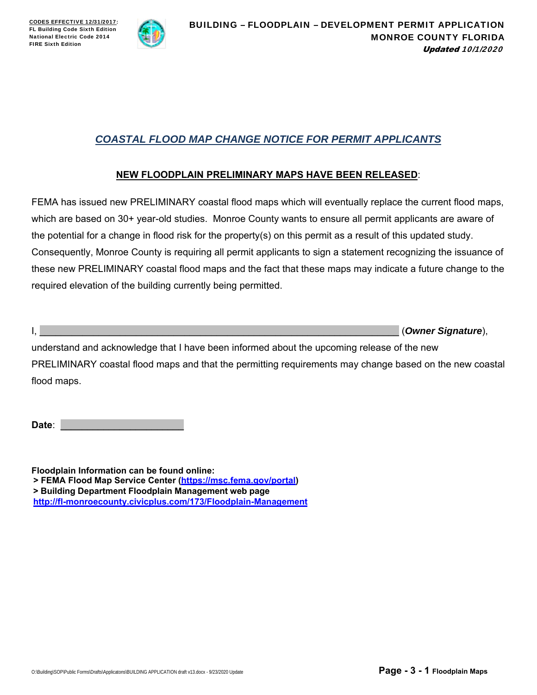

# *COASTAL FLOOD MAP CHANGE NOTICE FOR PERMIT APPLICANTS*

### **NEW FLOODPLAIN PRELIMINARY MAPS HAVE BEEN RELEASED**:

FEMA has issued new PRELIMINARY coastal flood maps which will eventually replace the current flood maps, which are based on 30+ year-old studies. Monroe County wants to ensure all permit applicants are aware of the potential for a change in flood risk for the property(s) on this permit as a result of this updated study. Consequently, Monroe County is requiring all permit applicants to sign a statement recognizing the issuance of these new PRELIMINARY coastal flood maps and the fact that these maps may indicate a future change to the required elevation of the building currently being permitted.

I, \_\_\_\_\_\_\_\_\_\_\_\_\_\_\_\_\_\_\_\_\_\_\_\_\_\_\_\_\_\_\_\_\_\_\_\_\_\_\_\_\_\_\_\_\_\_\_\_\_\_\_\_\_\_\_\_\_\_\_\_\_\_\_\_\_\_\_ (*Owner Signature*),

understand and acknowledge that I have been informed about the upcoming release of the new PRELIMINARY coastal flood maps and that the permitting requirements may change based on the new coastal flood maps.

Date:

**Floodplain Information can be found online: > FEMA Flood Map Service Center (https://msc.fema.gov/portal) > Building Department Floodplain Management web page http://fl-monroecounty.civicplus.com/173/Floodplain-Management**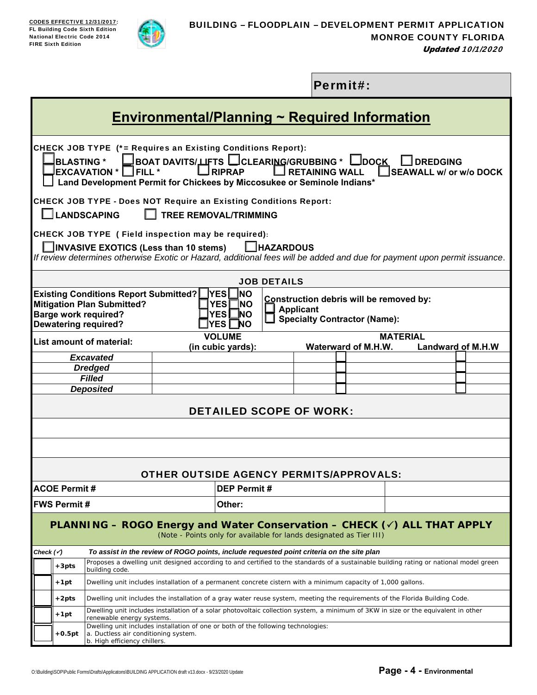

|                                                                                                                                                                                       |                                                                                                                                                                                                                                                                                                                                                                     |                                                                                                                                                                 |                                                |  |                    |                    |  |  | Permit#: |  |  |  |
|---------------------------------------------------------------------------------------------------------------------------------------------------------------------------------------|---------------------------------------------------------------------------------------------------------------------------------------------------------------------------------------------------------------------------------------------------------------------------------------------------------------------------------------------------------------------|-----------------------------------------------------------------------------------------------------------------------------------------------------------------|------------------------------------------------|--|--------------------|--------------------|--|--|----------|--|--|--|
|                                                                                                                                                                                       | <b>Environmental/Planning ~ Required Information</b>                                                                                                                                                                                                                                                                                                                |                                                                                                                                                                 |                                                |  |                    |                    |  |  |          |  |  |  |
|                                                                                                                                                                                       | CHECK JOB TYPE (*= Requires an Existing Conditions Report):<br>BOAT DAVITS/UFTS └─CLEARI <u>NG</u> /GRUBBING * L<br>$\lrcorner$ DOCK<br><b>BLASTING*</b><br><b>JDREDGING</b><br>$\Box$ RIPRAP<br><b>IFILL*</b><br><b>RETAINING WALL</b><br>SEAWALL w/ or w/o DOCK<br><b>EXCAVATION *</b><br>Land Development Permit for Chickees by Miccosukee or Seminole Indians* |                                                                                                                                                                 |                                                |  |                    |                    |  |  |          |  |  |  |
|                                                                                                                                                                                       | <b>CHECK JOB TYPE - Does NOT Require an Existing Conditions Report:</b><br><b>LANDSCAPING</b><br><b>TREE REMOVAL/TRIMMING</b>                                                                                                                                                                                                                                       |                                                                                                                                                                 |                                                |  |                    |                    |  |  |          |  |  |  |
|                                                                                                                                                                                       | CHECK JOB TYPE (Field inspection may be required):<br>$\Box$ HAZARDOUS<br>INVASIVE EXOTICS (Less than 10 stems)<br>If review determines otherwise Exotic or Hazard, additional fees will be added and due for payment upon permit issuance.                                                                                                                         |                                                                                                                                                                 |                                                |  |                    |                    |  |  |          |  |  |  |
|                                                                                                                                                                                       |                                                                                                                                                                                                                                                                                                                                                                     |                                                                                                                                                                 |                                                |  |                    | <b>JOB DETAILS</b> |  |  |          |  |  |  |
|                                                                                                                                                                                       | <b>Existing Conditions Report Submitted?</b><br><b>INO</b><br><u> </u> YES <br>Construction debris will be removed by:<br><b>Mitigation Plan Submitted?</b><br><b>YES</b><br>TNO.<br><b>Applicant</b><br><b>YES</b><br>_NO<br><b>Barge work required?</b><br><b>Specialty Contractor (Name):</b><br><b>Dewatering required?</b><br><b>YES</b><br>$\Box$ NO          |                                                                                                                                                                 |                                                |  |                    |                    |  |  |          |  |  |  |
|                                                                                                                                                                                       | <b>VOLUME</b><br><b>MATERIAL</b><br><b>List amount of material:</b><br>(in cubic yards):<br>Waterward of M.H.W.<br><b>Landward of M.H.W</b>                                                                                                                                                                                                                         |                                                                                                                                                                 |                                                |  |                    |                    |  |  |          |  |  |  |
|                                                                                                                                                                                       |                                                                                                                                                                                                                                                                                                                                                                     | <b>Excavated</b>                                                                                                                                                |                                                |  |                    |                    |  |  |          |  |  |  |
|                                                                                                                                                                                       |                                                                                                                                                                                                                                                                                                                                                                     | <b>Dredged</b>                                                                                                                                                  |                                                |  |                    |                    |  |  |          |  |  |  |
|                                                                                                                                                                                       |                                                                                                                                                                                                                                                                                                                                                                     | <b>Filled</b>                                                                                                                                                   |                                                |  |                    |                    |  |  |          |  |  |  |
|                                                                                                                                                                                       | <b>Deposited</b><br><b>DETAILED SCOPE OF WORK:</b>                                                                                                                                                                                                                                                                                                                  |                                                                                                                                                                 |                                                |  |                    |                    |  |  |          |  |  |  |
|                                                                                                                                                                                       |                                                                                                                                                                                                                                                                                                                                                                     |                                                                                                                                                                 |                                                |  |                    |                    |  |  |          |  |  |  |
|                                                                                                                                                                                       |                                                                                                                                                                                                                                                                                                                                                                     |                                                                                                                                                                 | <b>OTHER OUTSIDE AGENCY PERMITS/APPROVALS:</b> |  |                    |                    |  |  |          |  |  |  |
|                                                                                                                                                                                       | <b>ACOE Permit#</b>                                                                                                                                                                                                                                                                                                                                                 |                                                                                                                                                                 |                                                |  | <b>DEP Permit#</b> |                    |  |  |          |  |  |  |
|                                                                                                                                                                                       | <b>FWS Permit #</b>                                                                                                                                                                                                                                                                                                                                                 |                                                                                                                                                                 |                                                |  | Other:             |                    |  |  |          |  |  |  |
| <b>PLANNING – ROGO Energy and Water Conservation – CHECK <math>(\check{\phantom{1}})</math> ALL THAT APPLY</b><br>(Note - Points only for available for lands designated as Tier III) |                                                                                                                                                                                                                                                                                                                                                                     |                                                                                                                                                                 |                                                |  |                    |                    |  |  |          |  |  |  |
| Check (v´)                                                                                                                                                                            |                                                                                                                                                                                                                                                                                                                                                                     | To assist in the review of ROGO points, include requested point criteria on the site plan                                                                       |                                                |  |                    |                    |  |  |          |  |  |  |
|                                                                                                                                                                                       | $+3pts$                                                                                                                                                                                                                                                                                                                                                             | Proposes a dwelling unit designed according to and certified to the standards of a sustainable building rating or national model green<br>building code.        |                                                |  |                    |                    |  |  |          |  |  |  |
|                                                                                                                                                                                       | $+1pt$                                                                                                                                                                                                                                                                                                                                                              | Dwelling unit includes installation of a permanent concrete cistern with a minimum capacity of 1,000 gallons.                                                   |                                                |  |                    |                    |  |  |          |  |  |  |
|                                                                                                                                                                                       | $+2pts$<br>Dwelling unit includes the installation of a gray water reuse system, meeting the requirements of the Florida Building Code.                                                                                                                                                                                                                             |                                                                                                                                                                 |                                                |  |                    |                    |  |  |          |  |  |  |
|                                                                                                                                                                                       | $+1pt$                                                                                                                                                                                                                                                                                                                                                              | Dwelling unit includes installation of a solar photovoltaic collection system, a minimum of 3KW in size or the equivalent in other<br>renewable energy systems. |                                                |  |                    |                    |  |  |          |  |  |  |
|                                                                                                                                                                                       | $+0.5pt$                                                                                                                                                                                                                                                                                                                                                            | Dwelling unit includes installation of one or both of the following technologies:<br>a. Ductless air conditioning system.<br>b. High efficiency chillers.       |                                                |  |                    |                    |  |  |          |  |  |  |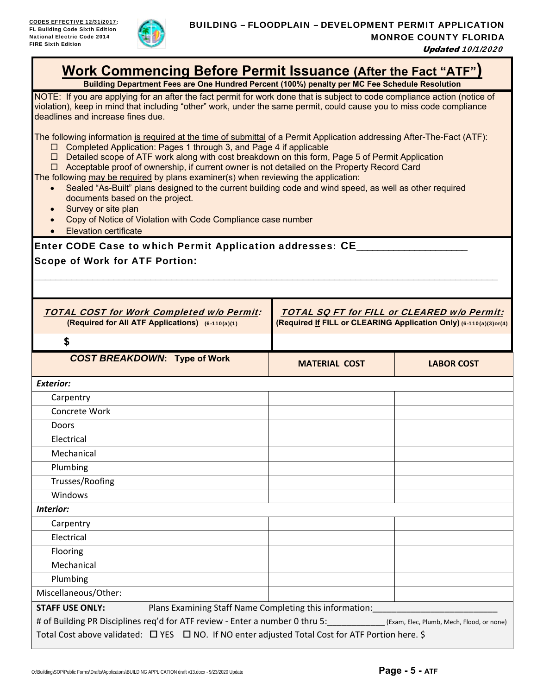

| <b>Work Commencing Before Permit Issuance (After the Fact "ATF")</b><br>Building Department Fees are One Hundred Percent (100%) penalty per MC Fee Schedule Resolution                                                                                                                                                                                                                                                                                                                                                                                                                                                                                                                                                                                                                             |                      |                   |  |  |  |  |  |
|----------------------------------------------------------------------------------------------------------------------------------------------------------------------------------------------------------------------------------------------------------------------------------------------------------------------------------------------------------------------------------------------------------------------------------------------------------------------------------------------------------------------------------------------------------------------------------------------------------------------------------------------------------------------------------------------------------------------------------------------------------------------------------------------------|----------------------|-------------------|--|--|--|--|--|
| NOTE: If you are applying for an after the fact permit for work done that is subject to code compliance action (notice of<br>violation), keep in mind that including "other" work, under the same permit, could cause you to miss code compliance<br>deadlines and increase fines due.                                                                                                                                                                                                                                                                                                                                                                                                                                                                                                             |                      |                   |  |  |  |  |  |
| The following information is required at the time of submittal of a Permit Application addressing After-The-Fact (ATF):<br>Completed Application: Pages 1 through 3, and Page 4 if applicable<br>$\Box$<br>Detailed scope of ATF work along with cost breakdown on this form, Page 5 of Permit Application<br>$\Box$<br>$\Box$ Acceptable proof of ownership, if current owner is not detailed on the Property Record Card<br>The following may be required by plans examiner(s) when reviewing the application:<br>Sealed "As-Built" plans designed to the current building code and wind speed, as well as other required<br>$\bullet$<br>documents based on the project.<br>Survey or site plan<br>Copy of Notice of Violation with Code Compliance case number<br><b>Elevation certificate</b> |                      |                   |  |  |  |  |  |
| Enter CODE Case to which Permit Application addresses: CE_                                                                                                                                                                                                                                                                                                                                                                                                                                                                                                                                                                                                                                                                                                                                         |                      |                   |  |  |  |  |  |
| <b>Scope of Work for ATF Portion:</b>                                                                                                                                                                                                                                                                                                                                                                                                                                                                                                                                                                                                                                                                                                                                                              |                      |                   |  |  |  |  |  |
|                                                                                                                                                                                                                                                                                                                                                                                                                                                                                                                                                                                                                                                                                                                                                                                                    |                      |                   |  |  |  |  |  |
|                                                                                                                                                                                                                                                                                                                                                                                                                                                                                                                                                                                                                                                                                                                                                                                                    |                      |                   |  |  |  |  |  |
| <b>TOTAL COST for Work Completed w/o Permit:</b><br><b>TOTAL SQ FT for FILL or CLEARED w/o Permit:</b><br>(Required If FILL or CLEARING Application Only) (6-110(a)(3)or(4)<br>(Required for All ATF Applications) (6-110(a)(1)                                                                                                                                                                                                                                                                                                                                                                                                                                                                                                                                                                    |                      |                   |  |  |  |  |  |
| \$                                                                                                                                                                                                                                                                                                                                                                                                                                                                                                                                                                                                                                                                                                                                                                                                 |                      |                   |  |  |  |  |  |
|                                                                                                                                                                                                                                                                                                                                                                                                                                                                                                                                                                                                                                                                                                                                                                                                    |                      |                   |  |  |  |  |  |
| <b>COST BREAKDOWN: Type of Work</b>                                                                                                                                                                                                                                                                                                                                                                                                                                                                                                                                                                                                                                                                                                                                                                | <b>MATERIAL COST</b> | <b>LABOR COST</b> |  |  |  |  |  |
| <b>Exterior:</b>                                                                                                                                                                                                                                                                                                                                                                                                                                                                                                                                                                                                                                                                                                                                                                                   |                      |                   |  |  |  |  |  |
| Carpentry                                                                                                                                                                                                                                                                                                                                                                                                                                                                                                                                                                                                                                                                                                                                                                                          |                      |                   |  |  |  |  |  |
| Concrete Work                                                                                                                                                                                                                                                                                                                                                                                                                                                                                                                                                                                                                                                                                                                                                                                      |                      |                   |  |  |  |  |  |
| Doors                                                                                                                                                                                                                                                                                                                                                                                                                                                                                                                                                                                                                                                                                                                                                                                              |                      |                   |  |  |  |  |  |
| Electrical                                                                                                                                                                                                                                                                                                                                                                                                                                                                                                                                                                                                                                                                                                                                                                                         |                      |                   |  |  |  |  |  |
| Mechanical                                                                                                                                                                                                                                                                                                                                                                                                                                                                                                                                                                                                                                                                                                                                                                                         |                      |                   |  |  |  |  |  |
| Plumbing                                                                                                                                                                                                                                                                                                                                                                                                                                                                                                                                                                                                                                                                                                                                                                                           |                      |                   |  |  |  |  |  |
| Trusses/Roofing                                                                                                                                                                                                                                                                                                                                                                                                                                                                                                                                                                                                                                                                                                                                                                                    |                      |                   |  |  |  |  |  |
| Windows                                                                                                                                                                                                                                                                                                                                                                                                                                                                                                                                                                                                                                                                                                                                                                                            |                      |                   |  |  |  |  |  |
| Interior:                                                                                                                                                                                                                                                                                                                                                                                                                                                                                                                                                                                                                                                                                                                                                                                          |                      |                   |  |  |  |  |  |
| Carpentry                                                                                                                                                                                                                                                                                                                                                                                                                                                                                                                                                                                                                                                                                                                                                                                          |                      |                   |  |  |  |  |  |
| Electrical                                                                                                                                                                                                                                                                                                                                                                                                                                                                                                                                                                                                                                                                                                                                                                                         |                      |                   |  |  |  |  |  |
| Flooring                                                                                                                                                                                                                                                                                                                                                                                                                                                                                                                                                                                                                                                                                                                                                                                           |                      |                   |  |  |  |  |  |
| Mechanical                                                                                                                                                                                                                                                                                                                                                                                                                                                                                                                                                                                                                                                                                                                                                                                         |                      |                   |  |  |  |  |  |
| Plumbing                                                                                                                                                                                                                                                                                                                                                                                                                                                                                                                                                                                                                                                                                                                                                                                           |                      |                   |  |  |  |  |  |
| Miscellaneous/Other:                                                                                                                                                                                                                                                                                                                                                                                                                                                                                                                                                                                                                                                                                                                                                                               |                      |                   |  |  |  |  |  |
| <b>STAFF USE ONLY:</b><br>Plans Examining Staff Name Completing this information:                                                                                                                                                                                                                                                                                                                                                                                                                                                                                                                                                                                                                                                                                                                  |                      |                   |  |  |  |  |  |
| # of Building PR Disciplines req'd for ATF review - Enter a number 0 thru 5: (Exam, Elec, Plumb, Mech, Flood, or none)<br>Total Cost above validated: □ YES □ NO. If NO enter adjusted Total Cost for ATF Portion here. \$                                                                                                                                                                                                                                                                                                                                                                                                                                                                                                                                                                         |                      |                   |  |  |  |  |  |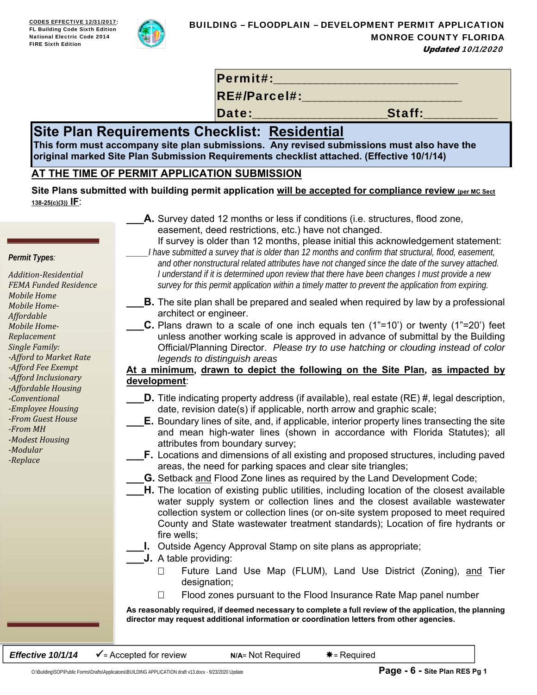

Permit#:

RE#/Parcel#:

Date:\_\_\_\_\_\_\_\_\_\_\_\_\_\_\_\_\_\_\_\_\_\_Staff:\_\_\_\_\_\_\_\_\_\_\_\_

# **Site Plan Requirements Checklist: Residential**

**This form must accompany site plan submissions. Any revised submissions must also have the original marked Site Plan Submission Requirements checklist attached. (Effective 10/1/14)**

# **AT THE TIME OF PERMIT APPLICATION SUBMISSION**

Site Plans submitted with building permit application will be accepted for compliance review (per MC Sect **138-25(c)(3)) IF**:

> **A.** Survey dated 12 months or less if conditions (i.e. structures, flood zone, easement, deed restrictions, etc.) have not changed.

*Permit Types:*

*Addition‐Residential FEMA Funded Residence Mobile Home Mobile Home‐ Affordable Mobile Home‐ Replacement Single Family: ‐Afford to Market Rate ‐Afford Fee Exempt ‐Afford Inclusionary ‐Affordable Housing ‐Conventional ‐Employee Housing ‐From Guest House ‐From MH ‐Modest Housing ‐Modular ‐Replace* 

- 
- If survey is older than 12 months, please initial this acknowledgement statement: *\_\_\_\_\_I have submitted a survey that is older than 12 months and confirm that structural, flood, easement, and other nonstructural related attributes have not changed since the date of the survey attached. I understand if it is determined upon review that there have been changes I must provide a new survey for this permit application within a timely matter to prevent the application from expiring.*
- **B.** The site plan shall be prepared and sealed when required by law by a professional architect or engineer.
	- **C.** Plans drawn to a scale of one inch equals ten (1"=10') or twenty (1"=20') feet unless another working scale is approved in advance of submittal by the Building Official/Planning Director. *Please try to use hatching or clouding instead of color legends to distinguish areas*

## **At a minimum, drawn to depict the following on the Site Plan, as impacted by development**:

- **D.** Title indicating property address (if available), real estate (RE) #, legal description, date, revision date(s) if applicable, north arrow and graphic scale;
- **E.** Boundary lines of site, and, if applicable, interior property lines transecting the site and mean high-water lines (shown in accordance with Florida Statutes); all attributes from boundary survey;
- **F.** Locations and dimensions of all existing and proposed structures, including paved areas, the need for parking spaces and clear site triangles;
- **G.** Setback and Flood Zone lines as required by the Land Development Code;
- **H.** The location of existing public utilities, including location of the closest available water supply system or collection lines and the closest available wastewater collection system or collection lines (or on-site system proposed to meet required County and State wastewater treatment standards); Location of fire hydrants or fire wells;
	- **I.** Outside Agency Approval Stamp on site plans as appropriate;
- **\_\_\_J.** A table providing:
	- □ Future Land Use Map (FLUM), Land Use District (Zoning), and Tier designation;
	- $\Box$  Flood zones pursuant to the Flood Insurance Rate Map panel number

**As reasonably required, if deemed necessary to complete a full review of the application, the planning director may request additional information or coordination letters from other agencies.** 

**Effective 10/1/14**  $\checkmark$  = Accepted for review **N/A**= Not Required  $*$  = Required